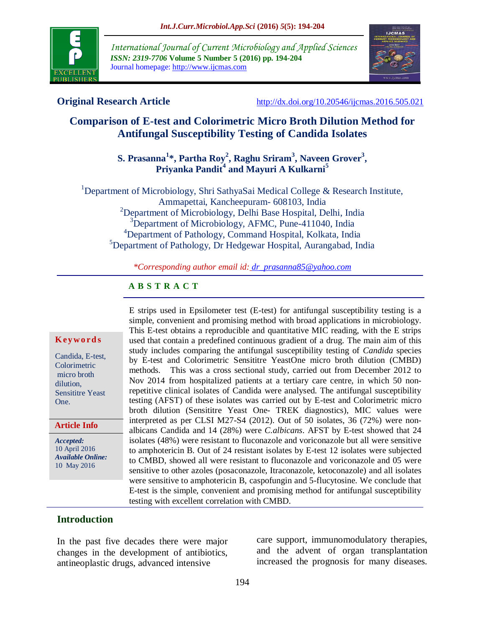

*International Journal of Current Microbiology and Applied Sciences ISSN: 2319-7706* **Volume 5 Number 5 (2016) pp. 194-204** Journal homepage: http://www.ijcmas.com



**Original Research Article** <http://dx.doi.org/10.20546/ijcmas.2016.505.021>

# **Comparison of E-test and Colorimetric Micro Broth Dilution Method for Antifungal Susceptibility Testing of Candida Isolates**

# **S. Prasanna<sup>1</sup> \*, Partha Roy<sup>2</sup> , Raghu Sriram<sup>3</sup> , Naveen Grover<sup>3</sup> , Priyanka Pandit<sup>4</sup> and Mayuri A Kulkarni<sup>5</sup>**

<sup>1</sup>Department of Microbiology, Shri SathyaSai Medical College & Research Institute, Ammapettai, Kancheepuram- 608103, India <sup>2</sup>Department of Microbiology, Delhi Base Hospital, Delhi, India <sup>3</sup>Department of Microbiology, AFMC, Pune-411040, India <sup>4</sup>Department of Pathology, Command Hospital, Kolkata, India <sup>5</sup>Department of Pathology, Dr Hedgewar Hospital, Aurangabad, India

*\*Corresponding author email id: [dr\\_prasanna85@yahoo.com](mailto:dr_prasanna85@yahoo.com)*

#### **A B S T R A C T**

#### **K ey w o rd s**

Candida, E-test, Colorimetric micro broth dilution, Sensititre Yeast One.

**Article Info**

*Accepted:*  10 April 2016 *Available Online:* 10 May 2016

E strips used in Epsilometer test (E-test) for antifungal susceptibility testing is a simple, convenient and promising method with broad applications in microbiology. This E-test obtains a reproducible and quantitative MIC reading, with the E strips used that contain a predefined continuous gradient of a drug. The main aim of this study includes comparing the antifungal susceptibility testing of *Candida* species by E-test and Colorimetric Sensititre YeastOne micro broth dilution (CMBD) methods. This was a cross sectional study, carried out from December 2012 to Nov 2014 from hospitalized patients at a tertiary care centre, in which 50 nonrepetitive clinical isolates of Candida were analysed. The antifungal susceptibility testing (AFST) of these isolates was carried out by E-test and Colorimetric micro broth dilution (Sensititre Yeast One- TREK diagnostics), MIC values were interpreted as per CLSI M27-S4 (2012). Out of 50 isolates, 36 (72%) were nonalbicans Candida and 14 (28%) were *C.albicans*. AFST by E-test showed that 24 isolates (48%) were resistant to fluconazole and voriconazole but all were sensitive to amphotericin B. Out of 24 resistant isolates by E-test 12 isolates were subjected to CMBD, showed all were resistant to fluconazole and voriconazole and 05 were sensitive to other azoles (posaconazole, Itraconazole, ketoconazole) and all isolates were sensitive to amphotericin B, caspofungin and 5-flucytosine. We conclude that E-test is the simple, convenient and promising method for antifungal susceptibility testing with excellent correlation with CMBD.

#### **Introduction**

In the past five decades there were major changes in the development of antibiotics, antineoplastic drugs, advanced intensive

care support, immunomodulatory therapies, and the advent of organ transplantation increased the prognosis for many diseases.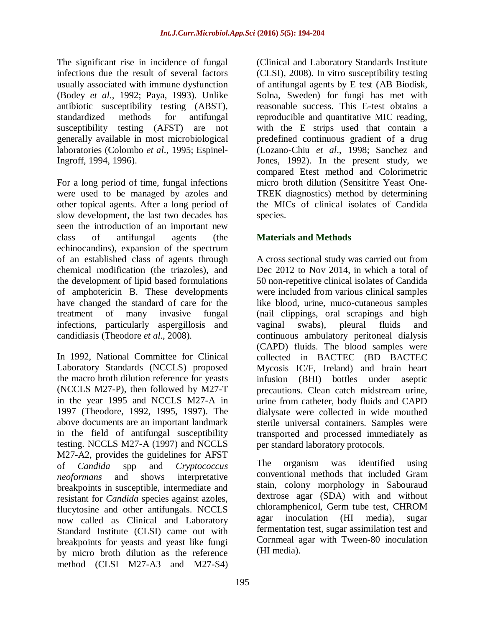The significant rise in incidence of fungal infections due the result of several factors usually associated with immune dysfunction (Bodey *et al*., 1992; Paya, 1993). Unlike antibiotic susceptibility testing (ABST), standardized methods for antifungal susceptibility testing (AFST) are not generally available in most microbiological laboratories (Colombo *et al*., 1995; Espinel-Ingroff, 1994, 1996).

For a long period of time, fungal infections were used to be managed by azoles and other topical agents. After a long period of slow development, the last two decades has seen the introduction of an important new class of antifungal agents (the echinocandins), expansion of the spectrum of an established class of agents through chemical modification (the triazoles), and the development of lipid based formulations of amphotericin B. These developments have changed the standard of care for the treatment of many invasive fungal infections, particularly aspergillosis and candidiasis (Theodore *et al*., 2008).

In 1992, National Committee for Clinical Laboratory Standards (NCCLS) proposed the macro broth dilution reference for yeasts (NCCLS M27-P), then followed by M27-T in the year 1995 and NCCLS M27-A in 1997 (Theodore, 1992, 1995, 1997). The above documents are an important landmark in the field of antifungal susceptibility testing. NCCLS M27-A (1997) and NCCLS M27-A2, provides the guidelines for AFST of *Candida* spp and *Cryptococcus neoformans* and shows interpretative breakpoints in susceptible, intermediate and resistant for *Candida* species against azoles, flucytosine and other antifungals. NCCLS now called as Clinical and Laboratory Standard Institute (CLSI) came out with breakpoints for yeasts and yeast like fungi by micro broth dilution as the reference method (CLSI M27-A3 and M27-S4)

(Clinical and Laboratory Standards Institute (CLSI), 2008). In vitro susceptibility testing of antifungal agents by E test (AB Biodisk, Solna, Sweden) for fungi has met with reasonable success. This E-test obtains a reproducible and quantitative MIC reading, with the E strips used that contain a predefined continuous gradient of a drug (Lozano-Chiu *et al*., 1998; Sanchez and Jones, 1992). In the present study, we compared Etest method and Colorimetric micro broth dilution (Sensititre Yeast One-TREK diagnostics) method by determining the MICs of clinical isolates of Candida species.

# **Materials and Methods**

A cross sectional study was carried out from Dec 2012 to Nov 2014, in which a total of 50 non-repetitive clinical isolates of Candida were included from various clinical samples like blood, urine, muco-cutaneous samples (nail clippings, oral scrapings and high vaginal swabs), pleural fluids and continuous ambulatory peritoneal dialysis (CAPD) fluids. The blood samples were collected in BACTEC (BD BACTEC Mycosis IC/F, Ireland) and brain heart infusion (BHI) bottles under aseptic precautions. Clean catch midstream urine, urine from catheter, body fluids and CAPD dialysate were collected in wide mouthed sterile universal containers. Samples were transported and processed immediately as per standard laboratory protocols.

The organism was identified using conventional methods that included Gram stain, colony morphology in Sabouraud dextrose agar (SDA) with and without chloramphenicol, Germ tube test, CHROM agar inoculation (HI media), sugar fermentation test, sugar assimilation test and Cornmeal agar with Tween-80 inoculation (HI media).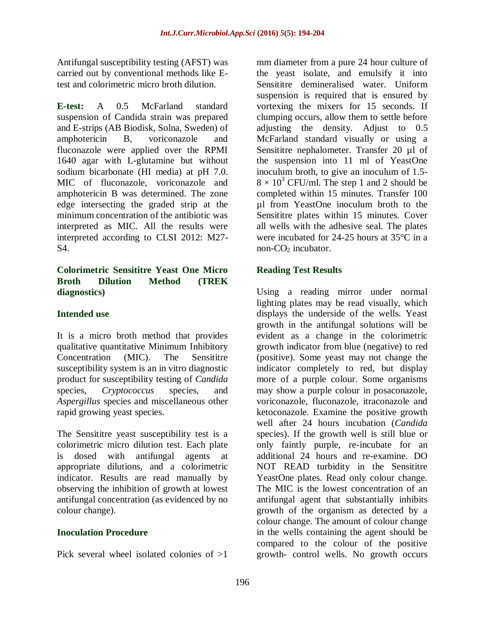Antifungal susceptibility testing (AFST) was carried out by conventional methods like Etest and colorimetric micro broth dilution.

**E-test:** A 0.5 McFarland standard suspension of Candida strain was prepared and E-strips (AB Biodisk, Solna, Sweden) of amphotericin B, voriconazole and fluconazole were applied over the RPMI 1640 agar with L-glutamine but without sodium bicarbonate (HI media) at pH 7.0. MIC of fluconazole, voriconazole and amphotericin B was determined. The zone edge intersecting the graded strip at the minimum concentration of the antibiotic was interpreted as MIC. All the results were interpreted according to CLSI 2012: M27- S4.

### **Colorimetric Sensititre Yeast One Micro Broth Dilution Method (TREK diagnostics)**

# **Intended use**

It is a micro broth method that provides qualitative quantitative Minimum Inhibitory Concentration (MIC). The Sensititre susceptibility system is an in vitro diagnostic product for susceptibility testing of *Candida* species, *Cryptococcus* species, and *Aspergillus* species and miscellaneous other rapid growing yeast species.

The Sensititre yeast susceptibility test is a colorimetric micro dilution test. Each plate is dosed with antifungal agents at appropriate dilutions, and a colorimetric indicator. Results are read manually by observing the inhibition of growth at lowest antifungal concentration (as evidenced by no colour change).

# **Inoculation Procedure**

Pick several wheel isolated colonies of >1

mm diameter from a pure 24 hour culture of the yeast isolate, and emulsify it into Sensititre demineralised water. Uniform suspension is required that is ensured by vortexing the mixers for 15 seconds. If clumping occurs, allow them to settle before adjusting the density. Adjust to 0.5 McFarland standard visually or using a Sensititre nephalometer. Transfer 20 µl of the suspension into 11 ml of YeastOne inoculum broth, to give an inoculum of 1.5-  $8 \times 10^3$  CFU/ml. The step 1 and 2 should be completed within 15 minutes. Transfer 100 µl from YeastOne inoculum broth to the Sensititre plates within 15 minutes. Cover all wells with the adhesive seal. The plates were incubated for 24-25 hours at 35°C in a non- $CO<sub>2</sub>$  incubator.

# **Reading Test Results**

Using a reading mirror under normal lighting plates may be read visually, which displays the underside of the wells. Yeast growth in the antifungal solutions will be evident as a change in the colorimetric growth indicator from blue (negative) to red (positive). Some yeast may not change the indicator completely to red, but display more of a purple colour. Some organisms may show a purple colour in posaconazole, voriconazole, fluconazole, itraconazole and ketoconazole. Examine the positive growth well after 24 hours incubation (*Candida* species). If the growth well is still blue or only faintly purple, re-incubate for an additional 24 hours and re-examine. DO NOT READ turbidity in the Sensititre YeastOne plates. Read only colour change. The MIC is the lowest concentration of an antifungal agent that substantially inhibits growth of the organism as detected by a colour change. The amount of colour change in the wells containing the agent should be compared to the colour of the positive growth- control wells. No growth occurs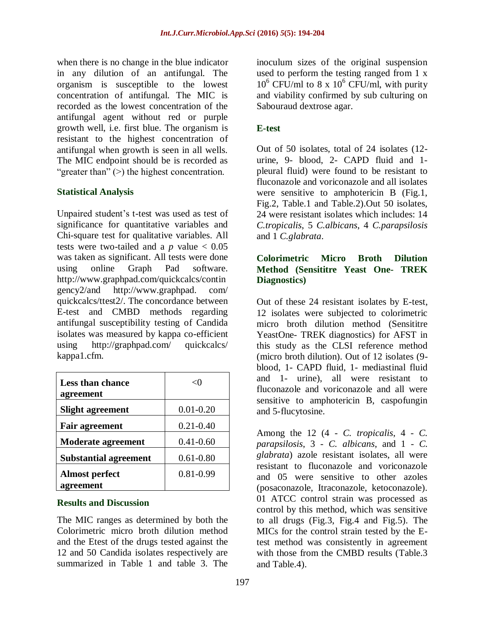when there is no change in the blue indicator in any dilution of an antifungal. The organism is susceptible to the lowest concentration of antifungal. The MIC is recorded as the lowest concentration of the antifungal agent without red or purple growth well, i.e. first blue. The organism is resistant to the highest concentration of antifungal when growth is seen in all wells. The MIC endpoint should be is recorded as "greater than" (>) the highest concentration.

# **Statistical Analysis**

Unpaired student's t-test was used as test of significance for quantitative variables and Chi-square test for qualitative variables. All tests were two-tailed and a  $p$  value  $< 0.05$ was taken as significant. All tests were done using online Graph Pad software. [http://www.graphpad.com/quickcalcs/contin](http://www.graphpad.com/quickcalcs/contingency2/) [gency2/a](http://www.graphpad.com/quickcalcs/contingency2/)nd http://www.graphpad. com/ quickcalcs/ttest2/. The concordance between E-test and CMBD methods regarding antifungal susceptibility testing of Candida isolates was measured by kappa co-efficient using [http://graphpad.com/ quickcalcs/](http://graphpad.com/%20quickcalcs/%20kappa1.cfm.)  [kappa1.cfm.](http://graphpad.com/%20quickcalcs/%20kappa1.cfm.) 

| Less than chance<br>agreement |               |
|-------------------------------|---------------|
| <b>Slight agreement</b>       | $0.01 - 0.20$ |
| <b>Fair agreement</b>         | $0.21 - 0.40$ |
| <b>Moderate agreement</b>     | $0.41 - 0.60$ |
| <b>Substantial agreement</b>  | $0.61 - 0.80$ |
| <b>Almost perfect</b>         | $0.81 - 0.99$ |
| agreement                     |               |

#### **Results and Discussion**

The MIC ranges as determined by both the Colorimetric micro broth dilution method and the Etest of the drugs tested against the 12 and 50 Candida isolates respectively are summarized in Table 1 and table 3. The

inoculum sizes of the original suspension used to perform the testing ranged from 1 x  $10^6$  CFU/ml to 8 x  $10^6$  CFU/ml, with purity and viability confirmed by sub culturing on Sabouraud dextrose agar.

## **E-test**

Out of 50 isolates, total of 24 isolates (12 urine, 9- blood, 2- CAPD fluid and 1 pleural fluid) were found to be resistant to fluconazole and voriconazole and all isolates were sensitive to amphotericin B (Fig.1, Fig.2, Table.1 and Table.2).Out 50 isolates, 24 were resistant isolates which includes: 14 *C.tropicalis*, 5 *C.albicans*, 4 *C.parapsilosis* and 1 *C.glabrata*.

#### **Colorimetric Micro Broth Dilution Method (Sensititre Yeast One- TREK Diagnostics)**

Out of these 24 resistant isolates by E-test, 12 isolates were subjected to colorimetric micro broth dilution method (Sensititre YeastOne- TREK diagnostics) for AFST in this study as the CLSI reference method (micro broth dilution). Out of 12 isolates (9 blood, 1- CAPD fluid, 1- mediastinal fluid and 1- urine), all were resistant to fluconazole and voriconazole and all were sensitive to amphotericin B, caspofungin and 5-flucytosine.

Among the 12 (4 - *C. tropicalis*, 4 - *C. parapsilosis*, 3 - *C. albicans*, and 1 - *C. glabrata*) azole resistant isolates, all were resistant to fluconazole and voriconazole and 05 were sensitive to other azoles (posaconazole, Itraconazole, ketoconazole). 01 ATCC control strain was processed as control by this method, which was sensitive to all drugs (Fig.3, Fig.4 and Fig.5). The MICs for the control strain tested by the Etest method was consistently in agreement with those from the CMBD results (Table.3 and Table.4).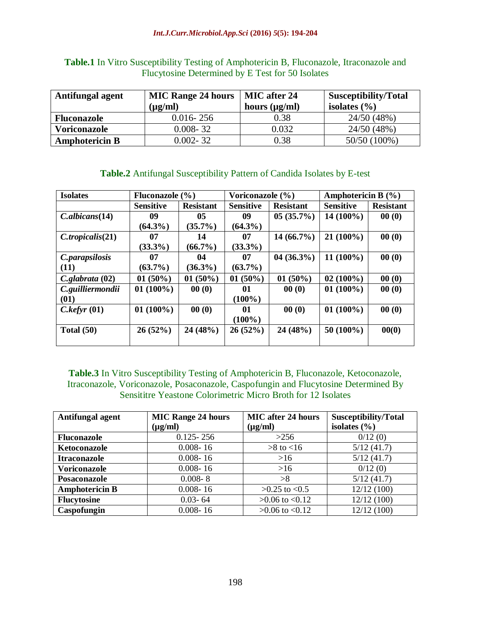| Table.1 In Vitro Susceptibility Testing of Amphotericin B, Fluconazole, Itraconazole and |
|------------------------------------------------------------------------------------------|
| Flucytosine Determined by E Test for 50 Isolates                                         |

| Antifungal agent      | <b>MIC Range 24 hours</b> | MIC after 24       | Susceptibility/Total |
|-----------------------|---------------------------|--------------------|----------------------|
|                       | $(\mu g/ml)$              | hours $(\mu g/ml)$ | isolates $(\% )$     |
| <b>Fluconazole</b>    | $0.016 - 256$             | 0.38               | 24/50 (48%)          |
| <b>Voriconazole</b>   | $0.008 - 32$              | 0.032              | 24/50 (48%)          |
| <b>Amphotericin B</b> | 0.002-32                  | 0.38               | 50/50 (100%)         |

# **Table.2** Antifungal Susceptibility Pattern of Candida Isolates by E-test

| <b>Isolates</b>          | Fluconazole $(\% )$ |                  | Voriconazole (%)                     |              | Amphotericin B $(\% )$ |                  |  |
|--------------------------|---------------------|------------------|--------------------------------------|--------------|------------------------|------------------|--|
| <b>Sensitive</b>         |                     | <b>Resistant</b> | <b>Sensitive</b><br><b>Resistant</b> |              | <b>Sensitive</b>       | <b>Resistant</b> |  |
| C. <i>albicans</i> (14)  | 09                  | 05               | 09                                   | $05(35.7\%)$ | $14(100\%)$            | 00(0)            |  |
|                          | $(64.3\%)$          | $(35.7\%)$       | $(64.3\%)$                           |              |                        |                  |  |
| C.tropicalis(21)         | 07                  | 14               | 07                                   | $14(66.7\%)$ |                        | 00(0)            |  |
|                          | $(33.3\%)$          | $(66.7\%)$       | $(33.3\%)$                           |              |                        |                  |  |
| <i>C.parapsilosis</i>    | 07                  | 04               | 07                                   | $04(36.3\%)$ | $11(100\%)$            | 00(0)            |  |
| (11)                     | $(63.7\%)$          | $(36.3\%)$       | $(63.7\%)$                           |              |                        |                  |  |
| $C$ .glabrata $(02)$     | $01(50\%)$          | $01(50\%)$       | $01(50\%)$                           | $01(50\%)$   | $02(100\%)$            | 00(0)            |  |
| C.guilliermondii         | $01(100\%)$         | 00(0)            | 01                                   | 00(0)        | $01(100\%)$            | 00(0)            |  |
| (01)                     |                     |                  | $(100\%)$                            |              |                        |                  |  |
| $C.$ <i>kefyr</i> $(01)$ | $01(100\%)$         | 00(0)            | 01                                   | 00(0)        | $01(100\%)$            | 00(0)            |  |
|                          |                     |                  | $(100\%)$                            |              |                        |                  |  |
| Total $(50)$             | 26(52%)             | 24 (48%)         | 26(52%)                              | 24(48%)      | $50(100\%)$            | 00(0)            |  |
|                          |                     |                  |                                      |              |                        |                  |  |

**Table.3** In Vitro Susceptibility Testing of Amphotericin B, Fluconazole, Ketoconazole, Itraconazole, Voriconazole, Posaconazole, Caspofungin and Flucytosine Determined By Sensititre Yeastone Colorimetric Micro Broth for 12 Isolates

| Antifungal agent      | <b>MIC Range 24 hours</b> | <b>MIC</b> after 24 hours | <b>Susceptibility/Total</b> |  |  |
|-----------------------|---------------------------|---------------------------|-----------------------------|--|--|
|                       | $(\mu g/ml)$              | $(\mu g/ml)$              | isolates $(\% )$            |  |  |
| <b>Fluconazole</b>    | $0.125 - 256$             | >256                      | 0/12(0)                     |  |  |
| Ketoconazole          | $0.008 - 16$              | $>8$ to $<16$             | 5/12(41.7)                  |  |  |
| <b>Itraconazole</b>   | $0.008 - 16$              | >16                       | 5/12(41.7)                  |  |  |
| Voriconazole          | $0.008 - 16$              | >16                       | 0/12(0)                     |  |  |
| Posaconazole          | $0.008 - 8$               | >8                        | 5/12(41.7)                  |  |  |
| <b>Amphotericin B</b> | $0.008 - 16$              | $>0.25$ to $< 0.5$        | 12/12(100)                  |  |  |
| <b>Flucytosine</b>    | $0.03 - 64$               | $>0.06$ to $< 0.12$       | 12/12(100)                  |  |  |
| Caspofungin           | $0.008 - 16$              | $>0.06$ to $< 0.12$       | 12/12(100)                  |  |  |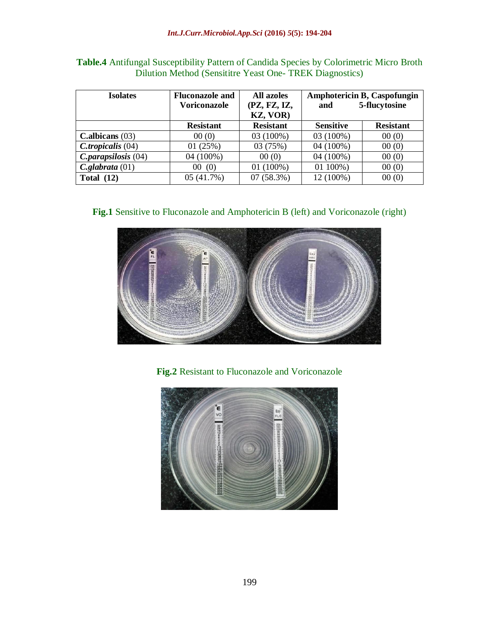| <b>Isolates</b>      | <b>Fluconazole and</b><br><b>Voriconazole</b> | All azoles<br>(PZ, FZ, IZ,<br>KZ, VOR) | <b>Amphotericin B, Caspofungin</b><br>5-flucytosine<br>and |                  |  |  |
|----------------------|-----------------------------------------------|----------------------------------------|------------------------------------------------------------|------------------|--|--|
|                      | <b>Resistant</b>                              | <b>Resistant</b>                       | <b>Sensitive</b>                                           | <b>Resistant</b> |  |  |
| C.albicans $(03)$    | 00(0)                                         | 03 (100%)                              | 03 (100%)                                                  | 00(0)            |  |  |
| $C.tropicalis$ (04)  | 01(25%)                                       | 03 (75%)                               | 04 (100%)                                                  | 00(0)            |  |  |
| C. parapsilosis (04) | 04 (100%)                                     | 00(0)                                  | 04 (100%)                                                  | 00(0)            |  |  |
| $C$ .glabrata $(01)$ | (0)<br>00                                     | $01(100\%)$                            | 01 100%)                                                   | 00(0)            |  |  |
| Total $(12)$         | 05(41.7%)                                     | 07(58.3%)                              | 12 (100%)                                                  | 00(0)            |  |  |

**Table.4** Antifungal Susceptibility Pattern of Candida Species by Colorimetric Micro Broth Dilution Method (Sensititre Yeast One- TREK Diagnostics)

**Fig.1** Sensitive to Fluconazole and Amphotericin B (left) and Voriconazole (right)



**Fig.2** Resistant to Fluconazole and Voriconazole

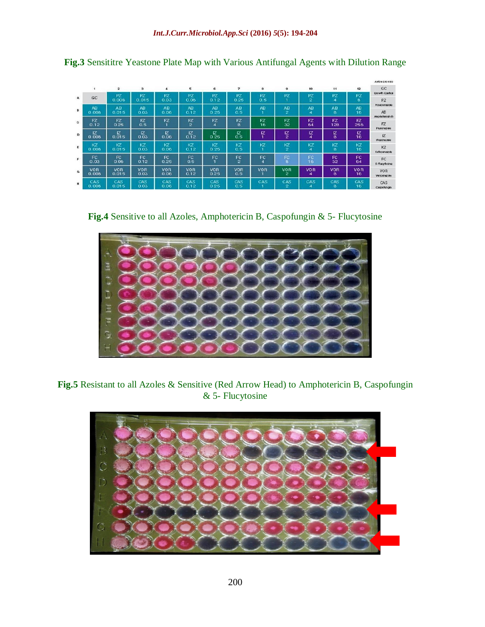|              |                     |              |                    |                  |                    |                |                    |                        |                      |                  |                 |                       | Antimicrobics        |
|--------------|---------------------|--------------|--------------------|------------------|--------------------|----------------|--------------------|------------------------|----------------------|------------------|-----------------|-----------------------|----------------------|
|              | 1                   | $\mathbf{z}$ | з                  | $\boldsymbol{4}$ | ε                  | ε              | 7                  | 8                      | э                    | 10 <sub>10</sub> | 11              | 12                    | GC                   |
| $\mathbf{a}$ | GC                  | PZ           | PZ                 | PZ               | PZ                 | PZ             | PZ                 | PZ                     | PZ                   | PZ               | PZ              | PZ                    | Growth Control       |
|              |                     | 0.008        | 0.015              | 0.03             | 0.06               | 0.12           | 0.25               | 0.5                    | T.                   | $\mathbf{2}$     | 4               | 8                     | PZ<br>Posaconazole   |
| B            | <b>AB</b>           | <b>AB</b>    | AB                 | <b>AB</b>        | AB                 | AB             | <b>AB</b>          | <b>AB</b>              | AB                   | AB               | <b>AB</b>       | AB                    |                      |
|              | 0.008               | 0.015        | 0.03               | 0.06             | 0.12               | 0.25           | 0.5                | п                      | $\overline{2}$       | 4                | s               | 16                    | AB<br>Amphotericin B |
| c            | <b>FZ</b>           | <b>FZ</b>    | <b>FZ</b>          | FZ               | FZ                 | FZ             | FZ                 | FZ                     | FZ                   | FZ<br>64         | <b>FZ</b>       | FZ.                   | FZ                   |
|              | 0.12                | 0.25         | 0.5                |                  | $\mathbf{z}$       | $\overline{4}$ | 8                  | 16                     | 32                   |                  | 128             | 256                   | Fluconazole          |
| D            | ΙZ<br>0.008         | Z<br>0.015   | IZ<br>0.03         | Z<br>0.06        | IZ<br>0.12         | Z<br>0.25      | ΙZ<br>0.5          | IZ<br>T.               | ΙZ<br>$\mathbf{z}$   | IZ.<br>4         | $\frac{1}{8}$   | IZ.<br>16             | IZ.                  |
|              |                     |              |                    |                  |                    |                |                    |                        |                      |                  |                 |                       | It accreagule        |
| E            | KZ<br>0.008         | Ю<br>0.015   | КZ<br>0.03         | КZ<br>0.06       | KZ<br>0.12         | KZ<br>0.25     | KZ<br>0.5          | KΖ<br>п                | кz<br>$\overline{2}$ | KZ<br>4          | KΖ<br>8         | KZ<br>16              | KZ                   |
|              |                     |              |                    |                  |                    |                |                    |                        |                      |                  |                 |                       | Ketoconazole         |
| F            | FC.<br>0.03         | FC.<br>0.06  | FC.<br>0.12        | FC.<br>0.25      | FC<br>0.5          | FC             | FC<br>$\mathbf{2}$ | FC<br>$\boldsymbol{4}$ | FC.<br>8             | FC.<br>16        | FC<br>32        | FC.<br>64             | FC                   |
|              |                     |              |                    |                  |                    |                |                    |                        |                      |                  |                 |                       | 5-Flucybane          |
| G            | <b>VOR</b><br>0.008 | VOR<br>0.015 | <b>VOR</b><br>0.03 | VOR<br>0.06      | <b>VOR</b><br>0.12 | VOR<br>0.25    | VOR<br>0.5         | VOR                    | VOR<br>$\mathbf{2}$  | VOR<br>4         | <b>VOR</b><br>8 | VO <sub>R</sub><br>16 | VOR<br>Voriconazole  |
| H            | CAS                 | CAS          | CAS                | CAS              | CAS                | CAS            | CAS                | CAS                    | CAS                  | CAS              | CAS             | CAS                   | CAS                  |
|              | 0.008               | 0.015        | 0.03               | 0.06             | 0.12               | 0.25           | 0.5                |                        | $\overline{c}$       | 4                | 8               | 16                    | Casportungin         |

**Fig.3** Sensititre Yeastone Plate Map with Various Antifungal Agents with Dilution Range

**Fig.4** Sensitive to all Azoles, Amphotericin B, Caspofungin & 5- Flucytosine



**Fig.5** Resistant to all Azoles & Sensitive (Red Arrow Head) to Amphotericin B, Caspofungin & 5- Flucytosine

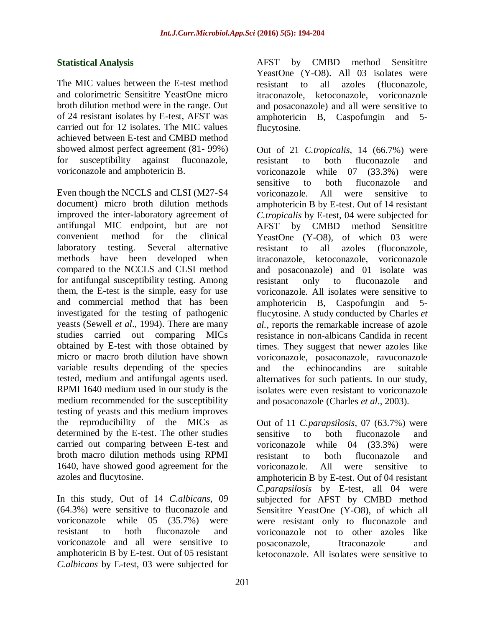# **Statistical Analysis**

The MIC values between the E-test method and colorimetric Sensititre YeastOne micro broth dilution method were in the range. Out of 24 resistant isolates by E-test, AFST was carried out for 12 isolates. The MIC values achieved between E-test and CMBD method showed almost perfect agreement (81- 99%) for susceptibility against fluconazole, voriconazole and amphotericin B.

Even though the NCCLS and CLSI (M27-S4 document) micro broth dilution methods improved the inter-laboratory agreement of antifungal MIC endpoint, but are not convenient method for the clinical laboratory testing. Several alternative methods have been developed when compared to the NCCLS and CLSI method for antifungal susceptibility testing. Among them, the E-test is the simple, easy for use and commercial method that has been investigated for the testing of pathogenic yeasts (Sewell *et al*., 1994). There are many studies carried out comparing MICs obtained by E-test with those obtained by micro or macro broth dilution have shown variable results depending of the species tested, medium and antifungal agents used. RPMI 1640 medium used in our study is the medium recommended for the susceptibility testing of yeasts and this medium improves the reproducibility of the MICs as determined by the E-test. The other studies carried out comparing between E-test and broth macro dilution methods using RPMI 1640, have showed good agreement for the azoles and flucytosine.

In this study, Out of 14 *C.albicans*, 09 (64.3%) were sensitive to fluconazole and voriconazole while 05 (35.7%) were resistant to both fluconazole and voriconazole and all were sensitive to amphotericin B by E-test. Out of 05 resistant *C.albicans* by E-test, 03 were subjected for AFST by CMBD method Sensititre YeastOne (Y-O8). All 03 isolates were resistant to all azoles (fluconazole, itraconazole, ketoconazole, voriconazole and posaconazole) and all were sensitive to amphotericin B, Caspofungin and 5 flucytosine.

Out of 21 *C.tropicalis*, 14 (66.7%) were resistant to both fluconazole and voriconazole while 07 (33.3%) were sensitive to both fluconazole and voriconazole. All were sensitive to amphotericin B by E-test. Out of 14 resistant *C.tropicalis* by E-test, 04 were subjected for AFST by CMBD method Sensititre YeastOne (Y-O8), of which 03 were resistant to all azoles (fluconazole, itraconazole, ketoconazole, voriconazole and posaconazole) and 01 isolate was resistant only to fluconazole and voriconazole. All isolates were sensitive to amphotericin B, Caspofungin and 5 flucytosine. A study conducted by Charles *et al.,* reports the remarkable increase of azole resistance in non-albicans Candida in recent times. They suggest that newer azoles like voriconazole, posaconazole, ravuconazole and the echinocandins are suitable alternatives for such patients. In our study, isolates were even resistant to voriconazole and posaconazole (Charles *et al*., 2003).

Out of 11 *C.parapsilosis*, 07 (63.7%) were sensitive to both fluconazole and voriconazole while 04 (33.3%) were resistant to both fluconazole and voriconazole. All were sensitive to amphotericin B by E-test. Out of 04 resistant *C.parapsilosis* by E-test, all 04 were subjected for AFST by CMBD method Sensititre YeastOne (Y-O8), of which all were resistant only to fluconazole and voriconazole not to other azoles like posaconazole, Itraconazole and ketoconazole. All isolates were sensitive to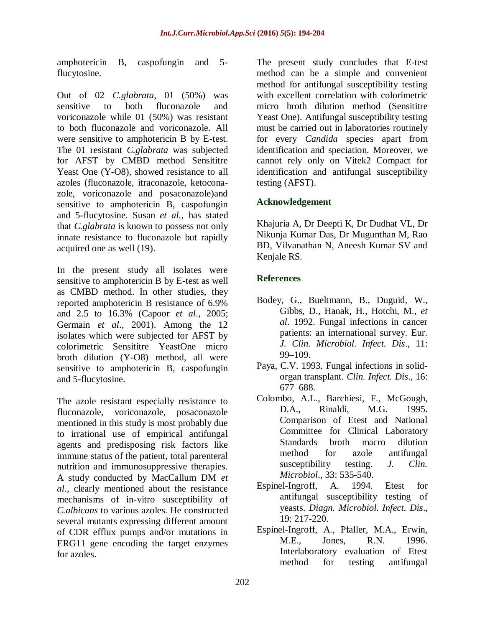amphotericin B, caspofungin and 5 flucytosine.

Out of 02 *C.glabrata*, 01 (50%) was sensitive to both fluconazole and voriconazole while 01 (50%) was resistant to both fluconazole and voriconazole. All were sensitive to amphotericin B by E-test. The 01 resistant *C.glabrata* was subjected for AFST by CMBD method Sensititre Yeast One (Y-O8), showed resistance to all azoles (fluconazole, itraconazole, ketoconazole, voriconazole and posaconazole)and sensitive to amphotericin B, caspofungin and 5-flucytosine. Susan *et al.,* has stated that *C.glabrata* is known to possess not only innate resistance to fluconazole but rapidly acquired one as well (19).

In the present study all isolates were sensitive to amphotericin B by E-test as well as CMBD method. In other studies, they reported amphotericin B resistance of 6.9% and 2.5 to 16.3% (Capoor *et al*., 2005; Germain *et al*., 2001). Among the 12 isolates which were subjected for AFST by colorimetric Sensititre YeastOne micro broth dilution (Y-O8) method, all were sensitive to amphotericin B, caspofungin and 5-flucytosine.

The azole resistant especially resistance to fluconazole, voriconazole, posaconazole mentioned in this study is most probably due to irrational use of empirical antifungal agents and predisposing risk factors like immune status of the patient, total parenteral nutrition and immunosuppressive therapies. A study conducted by MacCallum DM *et al.,* clearly mentioned about the resistance mechanisms of in-vitro susceptibility of *C.albicans* to various azoles. He constructed several mutants expressing different amount of CDR efflux pumps and/or mutations in ERG11 gene encoding the target enzymes for azoles.

The present study concludes that E-test method can be a simple and convenient method for antifungal susceptibility testing with excellent correlation with colorimetric micro broth dilution method (Sensititre Yeast One). Antifungal susceptibility testing must be carried out in laboratories routinely for every *Candida* species apart from identification and speciation. Moreover, we cannot rely only on Vitek2 Compact for identification and antifungal susceptibility testing (AFST).

# **Acknowledgement**

Khajuria A, Dr Deepti K, Dr Dudhat VL, Dr Nikunja Kumar Das, Dr Mugunthan M, Rao BD, Vilvanathan N, Aneesh Kumar SV and Kenjale RS.

# **References**

- Bodey, G., Bueltmann, B., Duguid, W., Gibbs, D., Hanak, H., Hotchi, M., *et al*. 1992. Fungal infections in cancer patients: an international survey. Eur. *J. Clin. Microbiol. Infect. Dis*., 11: 99–109.
- Paya, C.V. 1993. Fungal infections in solidorgan transplant. *Clin. Infect. Dis*., 16: 677–688.
- Colombo, A.L., Barchiesi, F., McGough, D.A., Rinaldi, M.G. 1995. Comparison of Etest and National Committee for Clinical Laboratory Standards broth macro dilution method for azole antifungal susceptibility testing. *J. Clin. Microbiol*., 33: 535-540.
- Espinel-Ingroff, A. 1994. Etest for antifungal susceptibility testing of yeasts. *Diagn. Microbiol. Infect. Dis*., 19: 217-220.
- Espinel-Ingroff, A., Pfaller, M.A., Erwin, M.E., Jones, R.N. 1996. Interlaboratory evaluation of Etest method for testing antifungal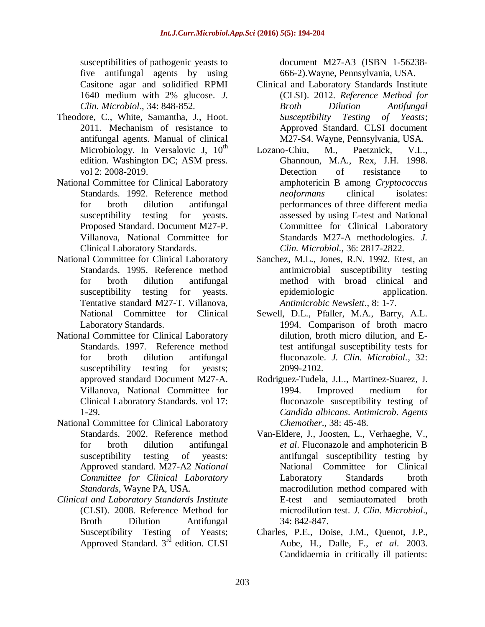susceptibilities of pathogenic yeasts to five antifungal agents by using Casitone agar and solidified RPMI 1640 medium with 2% glucose. *J. Clin. Microbiol*., 34: 848-852.

- Theodore, C., White, Samantha, J., Hoot. 2011. Mechanism of resistance to antifungal agents. Manual of clinical Microbiology. In Versalovic J,  $10^{th}$ edition. Washington DC; ASM press. vol 2: 2008-2019.
- National Committee for Clinical Laboratory Standards. 1992. Reference method for broth dilution antifungal susceptibility testing for yeasts. Proposed Standard. Document M27-P. Villanova, National Committee for Clinical Laboratory Standards.
- National Committee for Clinical Laboratory Standards. 1995. Reference method for broth dilution antifungal susceptibility testing for yeasts. Tentative standard M27-T. Villanova, National Committee for Clinical Laboratory Standards.
- National Committee for Clinical Laboratory Standards. 1997. Reference method for broth dilution antifungal susceptibility testing for yeasts; approved standard Document M27-A. Villanova, National Committee for Clinical Laboratory Standards. vol 17: 1-29.
- National Committee for Clinical Laboratory Standards. 2002. Reference method for broth dilution antifungal susceptibility testing of yeasts: Approved standard. M27-A2 *National Committee for Clinical Laboratory Standards*, Wayne PA, USA.
- *Clinical and Laboratory Standards Institute* (CLSI). 2008. Reference Method for Broth Dilution Antifungal Susceptibility Testing of Yeasts; Approved Standard. 3<sup>rd</sup> edition. CLSI

document M27-A3 (ISBN 1-56238- 666-2).Wayne, Pennsylvania, USA.

- Clinical and Laboratory Standards Institute (CLSI). 2012. *Reference Method for Broth Dilution Antifungal Susceptibility Testing of Yeasts*; Approved Standard. CLSI document M27-S4. Wayne, Pennsylvania, USA.
- Lozano-Chiu, M., Paetznick, V.L., Ghannoun, M.A., Rex, J.H. 1998. Detection of resistance to amphotericin B among *Cryptococcus neoformans* clinical isolates: performances of three different media assessed by using E-test and National Committee for Clinical Laboratory Standards M27-A methodologies. *J. Clin. Microbiol.,* 36: 2817-2822.
- Sanchez, M.L., Jones, R.N. 1992. Etest, an antimicrobial susceptibility testing method with broad clinical and epidemiologic application. *Antimicrobic Newslett*., 8: 1-7.
- Sewell, D.L., Pfaller, M.A., Barry, A.L. 1994. Comparison of broth macro dilution, broth micro dilution, and Etest antifungal susceptibility tests for fluconazole. *J. Clin. Microbiol.,* 32: 2099-2102.
- Rodriguez-Tudela, J.L., Martinez-Suarez, J. 1994. Improved medium for fluconazole susceptibility testing of *Candida albicans*. *Antimicrob. Agents Chemother*., 38: 45-48.
- Van-Eldere, J., Joosten, L., Verhaeghe, V., *et al*. Fluconazole and amphotericin B antifungal susceptibility testing by National Committee for Clinical Laboratory Standards broth macrodilution method compared with E-test and semiautomated broth microdilution test. *J. Clin. Microbiol*., 34: 842-847.
- Charles, P.E., Doise, J.M., Quenot, J.P., Aube, H., Dalle, F., *et al*. 2003. Candidaemia in critically ill patients: